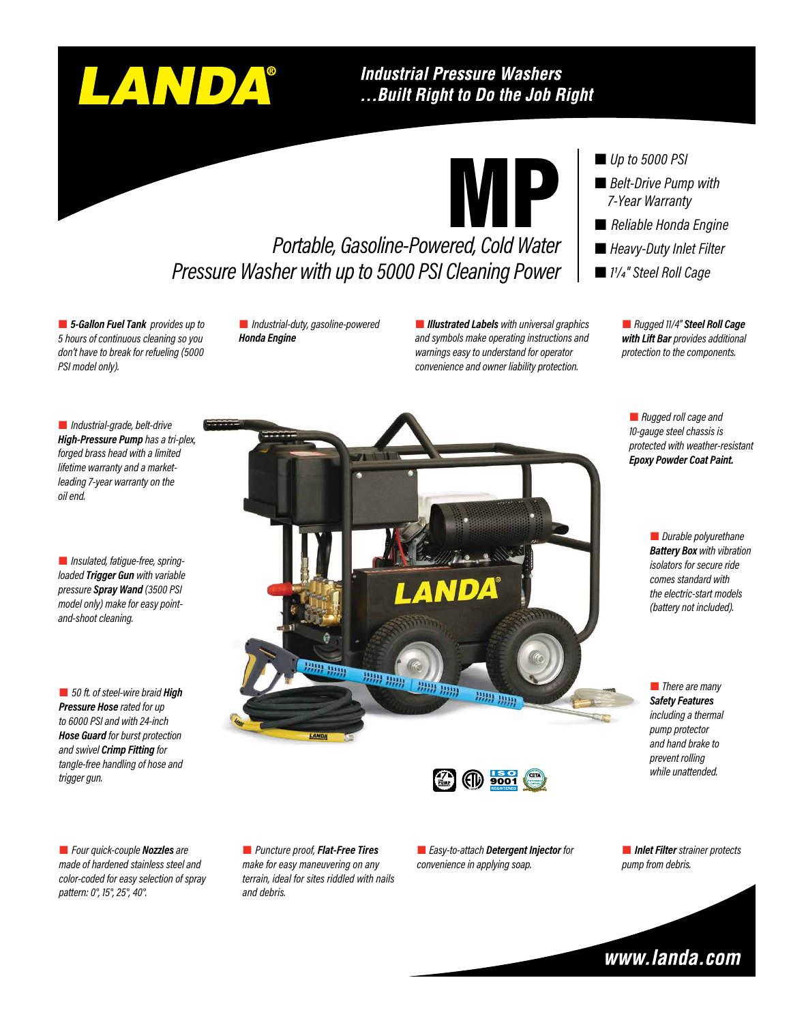# LANDA®

### **Industrial Pressure Washers** ... Built Right to Do the Job Right



# *Portable, Gasoline-Powered, Cold Water Pressure Washer with up to 5000 PSI Cleaning Power*

 *5-Gallon Fuel Tank provides up to 5 hours of continuous cleaning so you don't have to break for refueling (5000 PSI model only).*

 *Industrial-duty, gasoline-powered Honda Engine*

 *Illustrated Labels with universal graphics and symbols make operating instructions and warnings easy to understand for operator convenience and owner liability protection.*

#### ■ *Up to 5000 PSI*

- *Belt-Drive Pump with 7-Year Warranty*
- *Reliable Honda Engine*
- *Heavy-Duty Inlet Filter*
- *11/4" Steel Roll Cage*

 *Rugged 11/4" Steel Roll Cage with Lift Bar provides additional protection to the components.*

 *Rugged roll cage and 10-gauge steel chassis is protected with weather-resistant Epoxy Powder Coat Paint.*

> *Durable polyurethane Battery Box with vibration isolators for secure ride comes standard with the electric-start models (battery not included).*

 *There are many Safety Features including a thermal pump protector and hand brake to prevent rolling while unattended.*

 *Industrial-grade, belt-drive High-Pressure Pump has a tri-plex, forged brass head with a limited lifetime warranty and a marketleading 7-year warranty on the oil end.*

 *50 ft. of steel-wire braid High Pressure Hose rated for up to 6000 PSI and with 24-inch Hose Guard for burst protection and swivel Crimp Fitting for tangle-free handling of hose and trigger gun.*

 *Four quick-couple Nozzles are made of hardened stainless steel and color-coded for easy selection of spray pattern: 0°, 15°, 25°, 40°.*

 *Puncture proof, Flat-Free Tires make for easy maneuvering on any terrain, ideal for sites riddled with nails and debris.*

出典

HHH HHH

 *Easy-to-attach Detergent Injector for convenience in applying soap.*

 $(f|_l)$  9001

**HEAD HEAD** 

**PUMP WARRANTY**

**HAN HAD** 

 *Inlet Filter strainer protects pump from debris.*



 *Insulated, fatigue-free, springloaded Trigger Gun with variable pressure Spray Wand (3500 PSI model only) make for easy pointand-shoot cleaning.*